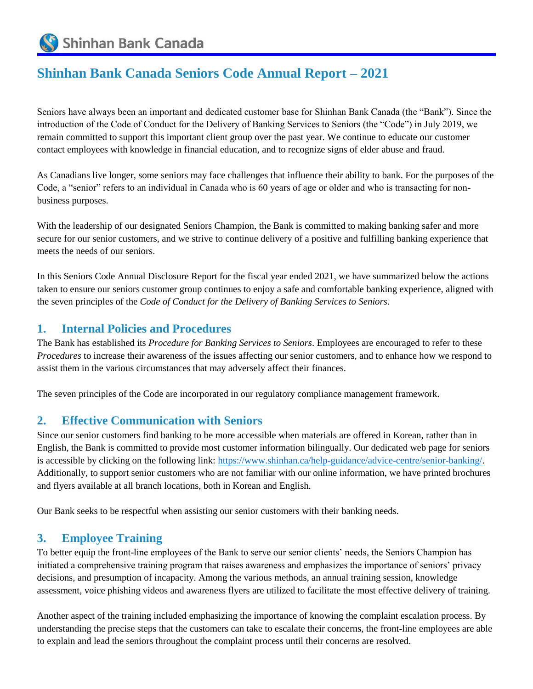Shinhan Bank Canada

# **Shinhan Bank Canada Seniors Code Annual Report – 2021**

Seniors have always been an important and dedicated customer base for Shinhan Bank Canada (the "Bank"). Since the introduction of the Code of Conduct for the Delivery of Banking Services to Seniors (the "Code") in July 2019, we remain committed to support this important client group over the past year. We continue to educate our customer contact employees with knowledge in financial education, and to recognize signs of elder abuse and fraud.

As Canadians live longer, some seniors may face challenges that influence their ability to bank. For the purposes of the Code, a "senior" refers to an individual in Canada who is 60 years of age or older and who is transacting for nonbusiness purposes.

With the leadership of our designated Seniors Champion, the Bank is committed to making banking safer and more secure for our senior customers, and we strive to continue delivery of a positive and fulfilling banking experience that meets the needs of our seniors.

In this Seniors Code Annual Disclosure Report for the fiscal year ended 2021, we have summarized below the actions taken to ensure our seniors customer group continues to enjoy a safe and comfortable banking experience, aligned with the seven principles of the *Code of Conduct for the Delivery of Banking Services to Seniors*.

### **1. Internal Policies and Procedures**

The Bank has established its *Procedure for Banking Services to Seniors*. Employees are encouraged to refer to these *Procedures* to increase their awareness of the issues affecting our senior customers, and to enhance how we respond to assist them in the various circumstances that may adversely affect their finances.

The seven principles of the Code are incorporated in our regulatory compliance management framework.

#### **2. Effective Communication with Seniors**

Since our senior customers find banking to be more accessible when materials are offered in Korean, rather than in English, the Bank is committed to provide most customer information bilingually. Our dedicated web page for seniors is accessible by clicking on the following link: [https://www.shinhan.ca/help-guidance/advice-centre/senior-banking/.](https://www.shinhan.ca/help-guidance/advice-centre/senior-banking/) Additionally, to support senior customers who are not familiar with our online information, we have printed brochures and flyers available at all branch locations, both in Korean and English.

Our Bank seeks to be respectful when assisting our senior customers with their banking needs.

#### **3. Employee Training**

To better equip the front-line employees of the Bank to serve our senior clients' needs, the Seniors Champion has initiated a comprehensive training program that raises awareness and emphasizes the importance of seniors' privacy decisions, and presumption of incapacity. Among the various methods, an annual training session, knowledge assessment, voice phishing videos and awareness flyers are utilized to facilitate the most effective delivery of training.

Another aspect of the training included emphasizing the importance of knowing the complaint escalation process. By understanding the precise steps that the customers can take to escalate their concerns, the front-line employees are able to explain and lead the seniors throughout the complaint process until their concerns are resolved.